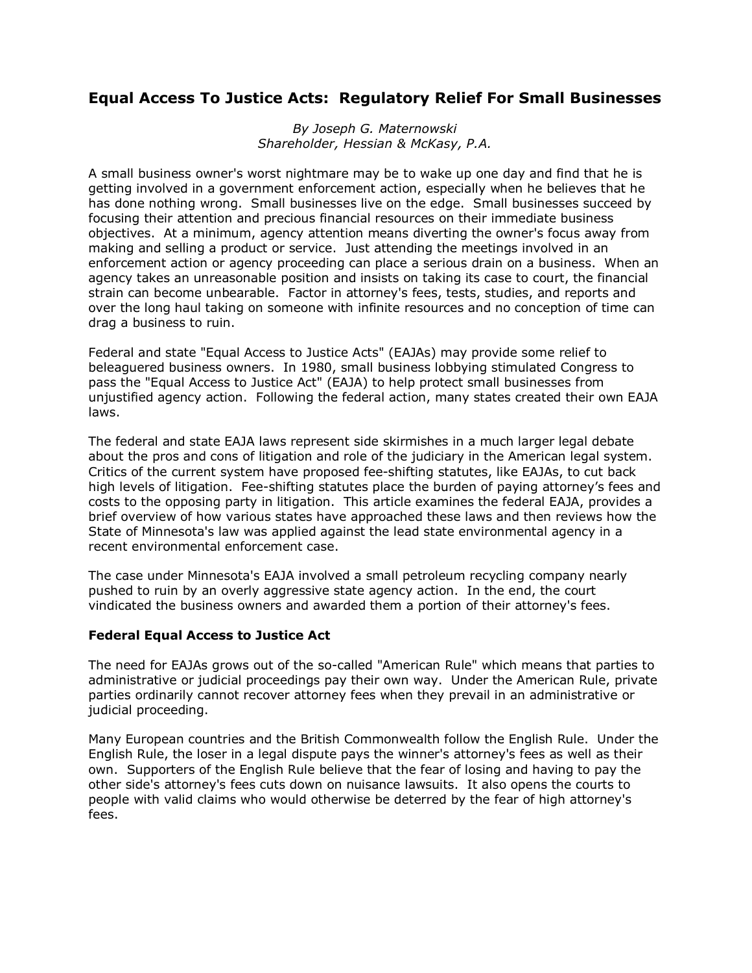# **Equal Access To Justice Acts: Regulatory Relief For Small Businesses**

*By Joseph G. Maternowski Shareholder, Hessian & McKasy, P.A.* 

A small business owner's worst nightmare may be to wake up one day and find that he is getting involved in a government enforcement action, especially when he believes that he has done nothing wrong. Small businesses live on the edge. Small businesses succeed by focusing their attention and precious financial resources on their immediate business objectives. At a minimum, agency attention means diverting the owner's focus away from making and selling a product or service. Just attending the meetings involved in an enforcement action or agency proceeding can place a serious drain on a business. When an agency takes an unreasonable position and insists on taking its case to court, the financial strain can become unbearable. Factor in attorney's fees, tests, studies, and reports and over the long haul taking on someone with infinite resources and no conception of time can drag a business to ruin.

Federal and state "Equal Access to Justice Acts" (EAJAs) may provide some relief to beleaguered business owners. In 1980, small business lobbying stimulated Congress to pass the "Equal Access to Justice Act" (EAJA) to help protect small businesses from unjustified agency action. Following the federal action, many states created their own EAJA laws.

The federal and state EAJA laws represent side skirmishes in a much larger legal debate about the pros and cons of litigation and role of the judiciary in the American legal system. Critics of the current system have proposed fee-shifting statutes, like EAJAs, to cut back high levels of litigation. Fee-shifting statutes place the burden of paying attorney's fees and costs to the opposing party in litigation. This article examines the federal EAJA, provides a brief overview of how various states have approached these laws and then reviews how the State of Minnesota's law was applied against the lead state environmental agency in a recent environmental enforcement case.

The case under Minnesota's EAJA involved a small petroleum recycling company nearly pushed to ruin by an overly aggressive state agency action. In the end, the court vindicated the business owners and awarded them a portion of their attorney's fees.

#### **Federal Equal Access to Justice Act**

The need for EAJAs grows out of the so-called "American Rule" which means that parties to administrative or judicial proceedings pay their own way. Under the American Rule, private parties ordinarily cannot recover attorney fees when they prevail in an administrative or judicial proceeding.

Many European countries and the British Commonwealth follow the English Rule. Under the English Rule, the loser in a legal dispute pays the winner's attorney's fees as well as their own. Supporters of the English Rule believe that the fear of losing and having to pay the other side's attorney's fees cuts down on nuisance lawsuits. It also opens the courts to people with valid claims who would otherwise be deterred by the fear of high attorney's fees.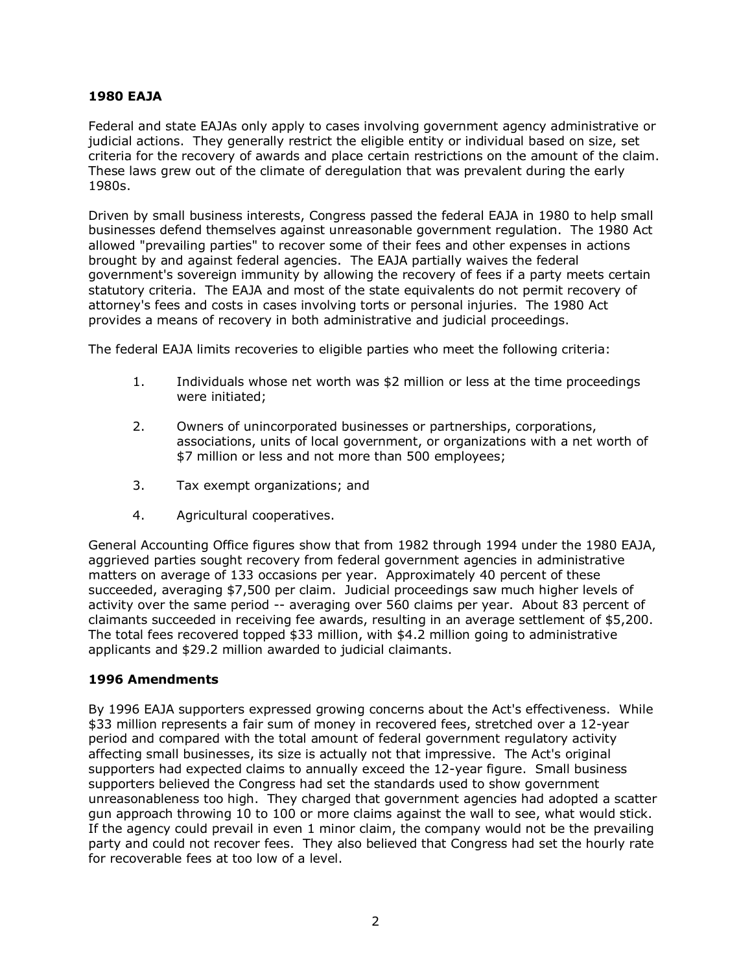#### **1980 EAJA**

Federal and state EAJAs only apply to cases involving government agency administrative or judicial actions. They generally restrict the eligible entity or individual based on size, set criteria for the recovery of awards and place certain restrictions on the amount of the claim. These laws grew out of the climate of deregulation that was prevalent during the early 1980s.

Driven by small business interests, Congress passed the federal EAJA in 1980 to help small businesses defend themselves against unreasonable government regulation. The 1980 Act allowed "prevailing parties" to recover some of their fees and other expenses in actions brought by and against federal agencies. The EAJA partially waives the federal government's sovereign immunity by allowing the recovery of fees if a party meets certain statutory criteria. The EAJA and most of the state equivalents do not permit recovery of attorney's fees and costs in cases involving torts or personal injuries. The 1980 Act provides a means of recovery in both administrative and judicial proceedings.

The federal EAJA limits recoveries to eligible parties who meet the following criteria:

- 1. Individuals whose net worth was \$2 million or less at the time proceedings were initiated;
- 2. Owners of unincorporated businesses or partnerships, corporations, associations, units of local government, or organizations with a net worth of \$7 million or less and not more than 500 employees;
- 3. Tax exempt organizations; and
- 4. Agricultural cooperatives.

General Accounting Office figures show that from 1982 through 1994 under the 1980 EAJA, aggrieved parties sought recovery from federal government agencies in administrative matters on average of 133 occasions per year. Approximately 40 percent of these succeeded, averaging \$7,500 per claim. Judicial proceedings saw much higher levels of activity over the same period -- averaging over 560 claims per year. About 83 percent of claimants succeeded in receiving fee awards, resulting in an average settlement of \$5,200. The total fees recovered topped \$33 million, with \$4.2 million going to administrative applicants and \$29.2 million awarded to judicial claimants.

## **1996 Amendments**

By 1996 EAJA supporters expressed growing concerns about the Act's effectiveness. While \$33 million represents a fair sum of money in recovered fees, stretched over a 12-year period and compared with the total amount of federal government regulatory activity affecting small businesses, its size is actually not that impressive. The Act's original supporters had expected claims to annually exceed the 12-year figure. Small business supporters believed the Congress had set the standards used to show government unreasonableness too high. They charged that government agencies had adopted a scatter gun approach throwing 10 to 100 or more claims against the wall to see, what would stick. If the agency could prevail in even 1 minor claim, the company would not be the prevailing party and could not recover fees. They also believed that Congress had set the hourly rate for recoverable fees at too low of a level.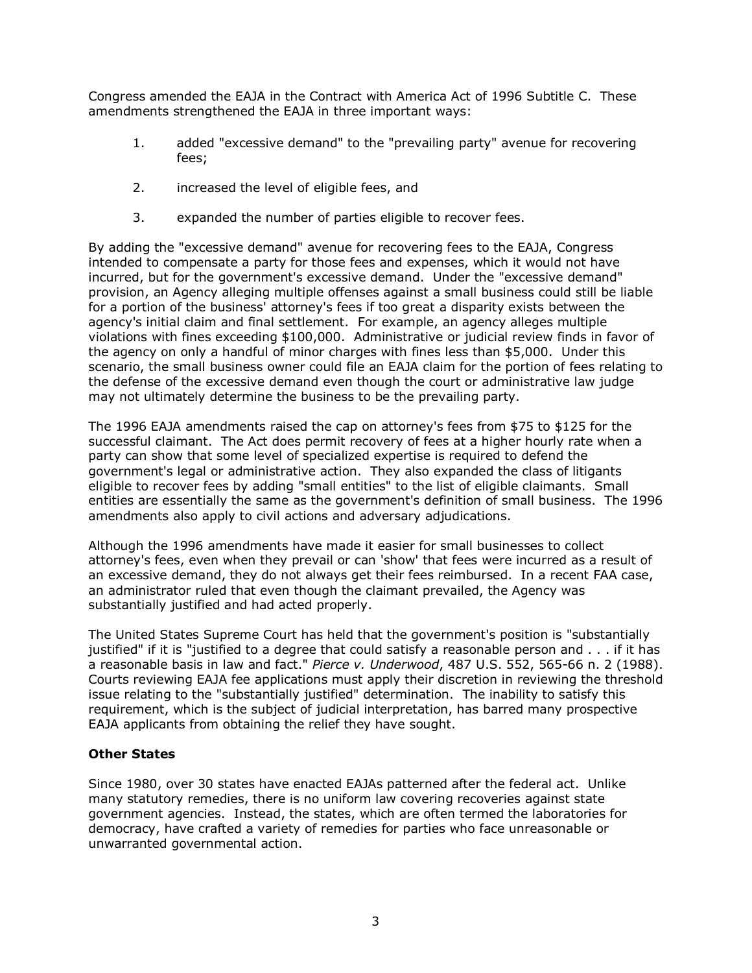Congress amended the EAJA in the Contract with America Act of 1996 Subtitle C. These amendments strengthened the EAJA in three important ways:

- 1. added "excessive demand" to the "prevailing party" avenue for recovering fees;
- 2. increased the level of eligible fees, and
- 3. expanded the number of parties eligible to recover fees.

By adding the "excessive demand" avenue for recovering fees to the EAJA, Congress intended to compensate a party for those fees and expenses, which it would not have incurred, but for the government's excessive demand. Under the "excessive demand" provision, an Agency alleging multiple offenses against a small business could still be liable for a portion of the business' attorney's fees if too great a disparity exists between the agency's initial claim and final settlement. For example, an agency alleges multiple violations with fines exceeding \$100,000. Administrative or judicial review finds in favor of the agency on only a handful of minor charges with fines less than \$5,000. Under this scenario, the small business owner could file an EAJA claim for the portion of fees relating to the defense of the excessive demand even though the court or administrative law judge may not ultimately determine the business to be the prevailing party.

The 1996 EAJA amendments raised the cap on attorney's fees from \$75 to \$125 for the successful claimant. The Act does permit recovery of fees at a higher hourly rate when a party can show that some level of specialized expertise is required to defend the government's legal or administrative action. They also expanded the class of litigants eligible to recover fees by adding "small entities" to the list of eligible claimants. Small entities are essentially the same as the government's definition of small business. The 1996 amendments also apply to civil actions and adversary adjudications.

Although the 1996 amendments have made it easier for small businesses to collect attorney's fees, even when they prevail or can 'show' that fees were incurred as a result of an excessive demand, they do not always get their fees reimbursed. In a recent FAA case, an administrator ruled that even though the claimant prevailed, the Agency was substantially justified and had acted properly.

The United States Supreme Court has held that the government's position is "substantially justified" if it is "justified to a degree that could satisfy a reasonable person and . . . if it has a reasonable basis in law and fact." *Pierce v. Underwood*, 487 U.S. 552, 565-66 n. 2 (1988). Courts reviewing EAJA fee applications must apply their discretion in reviewing the threshold issue relating to the "substantially justified" determination. The inability to satisfy this requirement, which is the subject of judicial interpretation, has barred many prospective EAJA applicants from obtaining the relief they have sought.

## **Other States**

Since 1980, over 30 states have enacted EAJAs patterned after the federal act. Unlike many statutory remedies, there is no uniform law covering recoveries against state government agencies. Instead, the states, which are often termed the laboratories for democracy, have crafted a variety of remedies for parties who face unreasonable or unwarranted governmental action.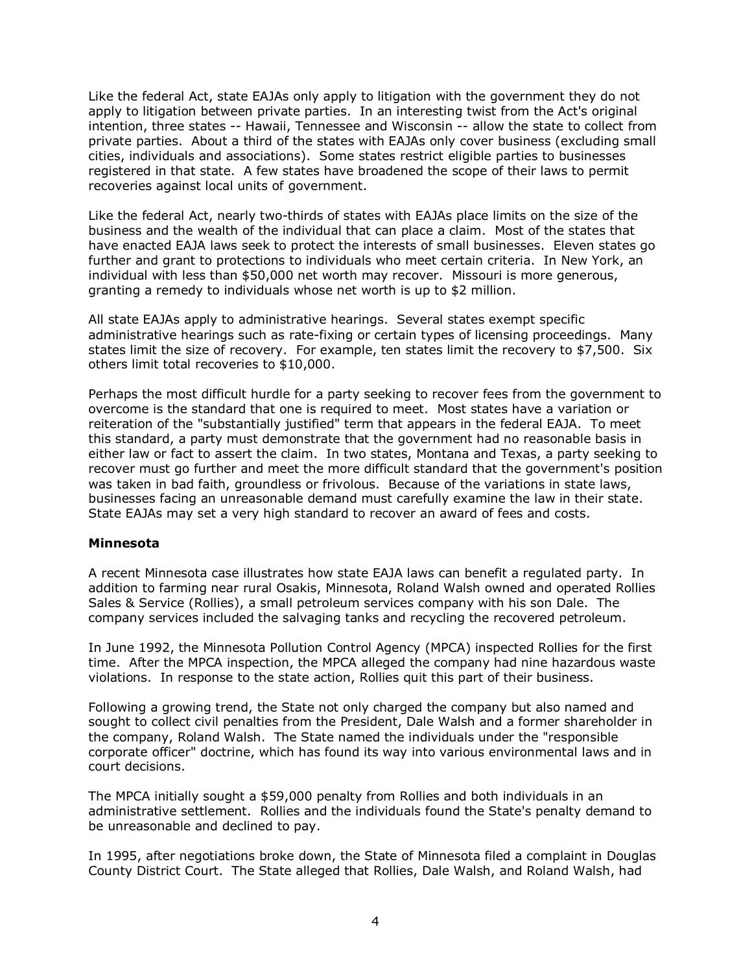Like the federal Act, state EAJAs only apply to litigation with the government they do not apply to litigation between private parties. In an interesting twist from the Act's original intention, three states -- Hawaii, Tennessee and Wisconsin -- allow the state to collect from private parties. About a third of the states with EAJAs only cover business (excluding small cities, individuals and associations). Some states restrict eligible parties to businesses registered in that state. A few states have broadened the scope of their laws to permit recoveries against local units of government.

Like the federal Act, nearly two-thirds of states with EAJAs place limits on the size of the business and the wealth of the individual that can place a claim. Most of the states that have enacted EAJA laws seek to protect the interests of small businesses. Eleven states go further and grant to protections to individuals who meet certain criteria. In New York, an individual with less than \$50,000 net worth may recover. Missouri is more generous, granting a remedy to individuals whose net worth is up to \$2 million.

All state EAJAs apply to administrative hearings. Several states exempt specific administrative hearings such as rate-fixing or certain types of licensing proceedings. Many states limit the size of recovery. For example, ten states limit the recovery to \$7,500. Six others limit total recoveries to \$10,000.

Perhaps the most difficult hurdle for a party seeking to recover fees from the government to overcome is the standard that one is required to meet. Most states have a variation or reiteration of the "substantially justified" term that appears in the federal EAJA. To meet this standard, a party must demonstrate that the government had no reasonable basis in either law or fact to assert the claim. In two states, Montana and Texas, a party seeking to recover must go further and meet the more difficult standard that the government's position was taken in bad faith, groundless or frivolous. Because of the variations in state laws, businesses facing an unreasonable demand must carefully examine the law in their state. State EAJAs may set a very high standard to recover an award of fees and costs.

#### **Minnesota**

A recent Minnesota case illustrates how state EAJA laws can benefit a regulated party. In addition to farming near rural Osakis, Minnesota, Roland Walsh owned and operated Rollies Sales & Service (Rollies), a small petroleum services company with his son Dale. The company services included the salvaging tanks and recycling the recovered petroleum.

In June 1992, the Minnesota Pollution Control Agency (MPCA) inspected Rollies for the first time. After the MPCA inspection, the MPCA alleged the company had nine hazardous waste violations. In response to the state action, Rollies quit this part of their business.

Following a growing trend, the State not only charged the company but also named and sought to collect civil penalties from the President, Dale Walsh and a former shareholder in the company, Roland Walsh. The State named the individuals under the "responsible corporate officer" doctrine, which has found its way into various environmental laws and in court decisions.

The MPCA initially sought a \$59,000 penalty from Rollies and both individuals in an administrative settlement. Rollies and the individuals found the State's penalty demand to be unreasonable and declined to pay.

In 1995, after negotiations broke down, the State of Minnesota filed a complaint in Douglas County District Court. The State alleged that Rollies, Dale Walsh, and Roland Walsh, had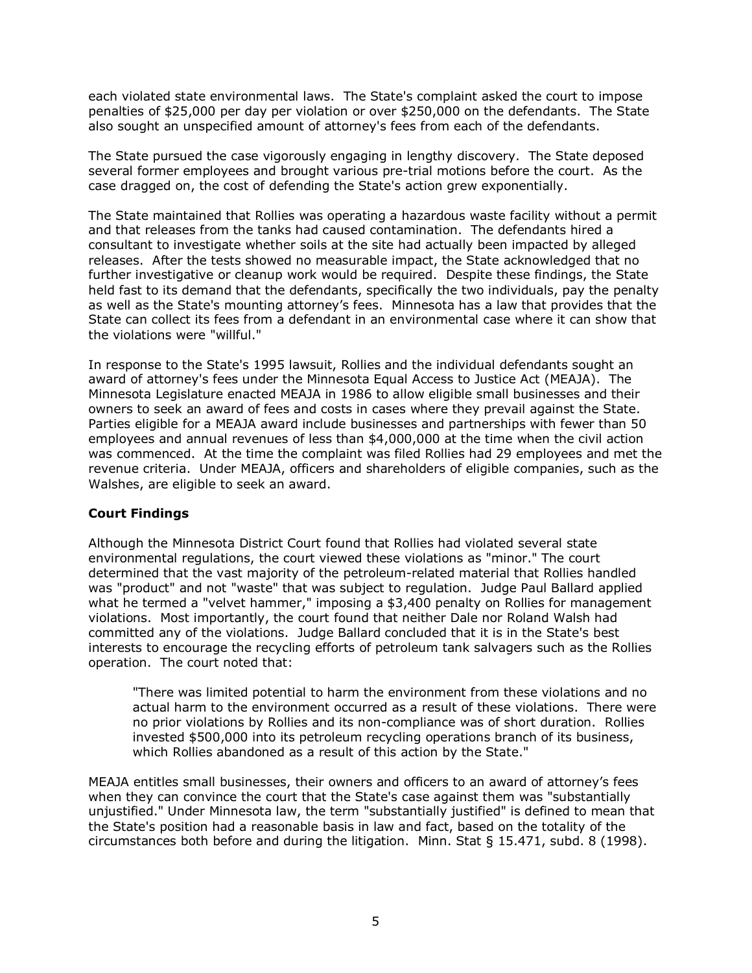each violated state environmental laws. The State's complaint asked the court to impose penalties of \$25,000 per day per violation or over \$250,000 on the defendants. The State also sought an unspecified amount of attorney's fees from each of the defendants.

The State pursued the case vigorously engaging in lengthy discovery. The State deposed several former employees and brought various pre-trial motions before the court. As the case dragged on, the cost of defending the State's action grew exponentially.

The State maintained that Rollies was operating a hazardous waste facility without a permit and that releases from the tanks had caused contamination. The defendants hired a consultant to investigate whether soils at the site had actually been impacted by alleged releases. After the tests showed no measurable impact, the State acknowledged that no further investigative or cleanup work would be required. Despite these findings, the State held fast to its demand that the defendants, specifically the two individuals, pay the penalty as well as the State's mounting attorney's fees. Minnesota has a law that provides that the State can collect its fees from a defendant in an environmental case where it can show that the violations were "willful."

In response to the State's 1995 lawsuit, Rollies and the individual defendants sought an award of attorney's fees under the Minnesota Equal Access to Justice Act (MEAJA). The Minnesota Legislature enacted MEAJA in 1986 to allow eligible small businesses and their owners to seek an award of fees and costs in cases where they prevail against the State. Parties eligible for a MEAJA award include businesses and partnerships with fewer than 50 employees and annual revenues of less than \$4,000,000 at the time when the civil action was commenced. At the time the complaint was filed Rollies had 29 employees and met the revenue criteria. Under MEAJA, officers and shareholders of eligible companies, such as the Walshes, are eligible to seek an award.

## **Court Findings**

Although the Minnesota District Court found that Rollies had violated several state environmental regulations, the court viewed these violations as "minor." The court determined that the vast majority of the petroleum-related material that Rollies handled was "product" and not "waste" that was subject to regulation. Judge Paul Ballard applied what he termed a "velvet hammer," imposing a \$3,400 penalty on Rollies for management violations. Most importantly, the court found that neither Dale nor Roland Walsh had committed any of the violations. Judge Ballard concluded that it is in the State's best interests to encourage the recycling efforts of petroleum tank salvagers such as the Rollies operation. The court noted that:

"There was limited potential to harm the environment from these violations and no actual harm to the environment occurred as a result of these violations. There were no prior violations by Rollies and its non-compliance was of short duration. Rollies invested \$500,000 into its petroleum recycling operations branch of its business, which Rollies abandoned as a result of this action by the State."

MEAJA entitles small businesses, their owners and officers to an award of attorneyís fees when they can convince the court that the State's case against them was "substantially unjustified." Under Minnesota law, the term "substantially justified" is defined to mean that the State's position had a reasonable basis in law and fact, based on the totality of the circumstances both before and during the litigation. Minn. Stat  $\S$  15.471, subd. 8 (1998).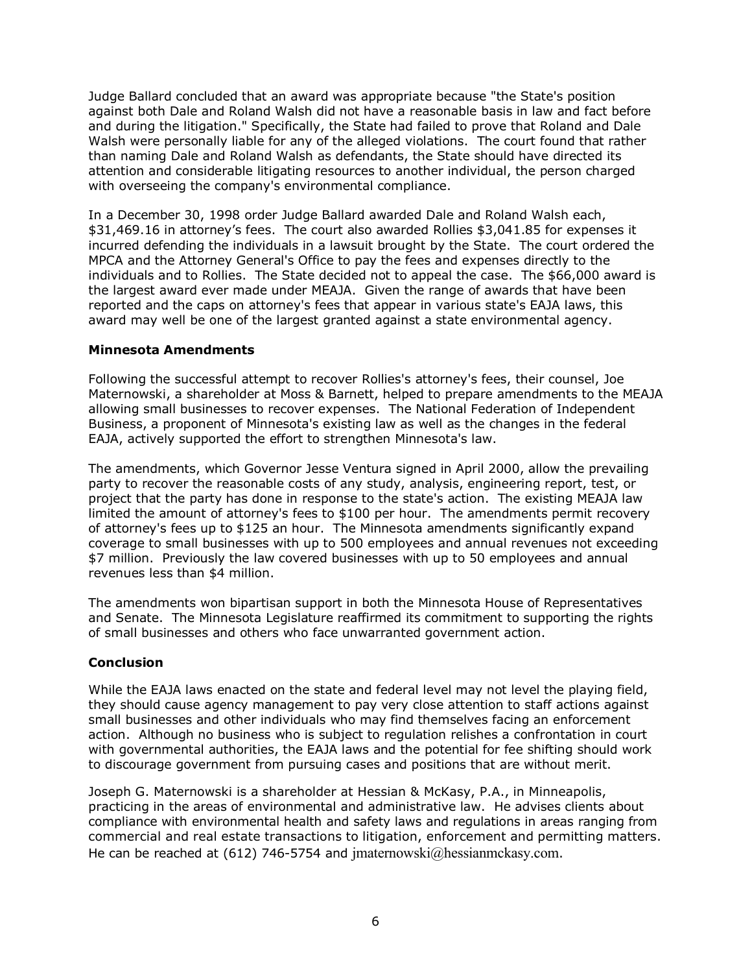Judge Ballard concluded that an award was appropriate because "the State's position against both Dale and Roland Walsh did not have a reasonable basis in law and fact before and during the litigation." Specifically, the State had failed to prove that Roland and Dale Walsh were personally liable for any of the alleged violations. The court found that rather than naming Dale and Roland Walsh as defendants, the State should have directed its attention and considerable litigating resources to another individual, the person charged with overseeing the company's environmental compliance.

In a December 30, 1998 order Judge Ballard awarded Dale and Roland Walsh each, \$31,469.16 in attorneyís fees. The court also awarded Rollies \$3,041.85 for expenses it incurred defending the individuals in a lawsuit brought by the State. The court ordered the MPCA and the Attorney General's Office to pay the fees and expenses directly to the individuals and to Rollies. The State decided not to appeal the case. The \$66,000 award is the largest award ever made under MEAJA. Given the range of awards that have been reported and the caps on attorney's fees that appear in various state's EAJA laws, this award may well be one of the largest granted against a state environmental agency.

#### **Minnesota Amendments**

Following the successful attempt to recover Rollies's attorney's fees, their counsel, Joe Maternowski, a shareholder at Moss & Barnett, helped to prepare amendments to the MEAJA allowing small businesses to recover expenses. The National Federation of Independent Business, a proponent of Minnesota's existing law as well as the changes in the federal EAJA, actively supported the effort to strengthen Minnesota's law.

The amendments, which Governor Jesse Ventura signed in April 2000, allow the prevailing party to recover the reasonable costs of any study, analysis, engineering report, test, or project that the party has done in response to the state's action. The existing MEAJA law limited the amount of attorney's fees to \$100 per hour. The amendments permit recovery of attorney's fees up to \$125 an hour. The Minnesota amendments significantly expand coverage to small businesses with up to 500 employees and annual revenues not exceeding \$7 million. Previously the law covered businesses with up to 50 employees and annual revenues less than \$4 million.

The amendments won bipartisan support in both the Minnesota House of Representatives and Senate. The Minnesota Legislature reaffirmed its commitment to supporting the rights of small businesses and others who face unwarranted government action.

## **Conclusion**

While the EAJA laws enacted on the state and federal level may not level the playing field, they should cause agency management to pay very close attention to staff actions against small businesses and other individuals who may find themselves facing an enforcement action. Although no business who is subject to regulation relishes a confrontation in court with governmental authorities, the EAJA laws and the potential for fee shifting should work to discourage government from pursuing cases and positions that are without merit.

Joseph G. Maternowski is a shareholder at Hessian & McKasy, P.A., in Minneapolis, practicing in the areas of environmental and administrative law. He advises clients about compliance with environmental health and safety laws and regulations in areas ranging from commercial and real estate transactions to litigation, enforcement and permitting matters. He can be reached at (612) 746-5754 and jmaternowski@hessianmckasy.com.